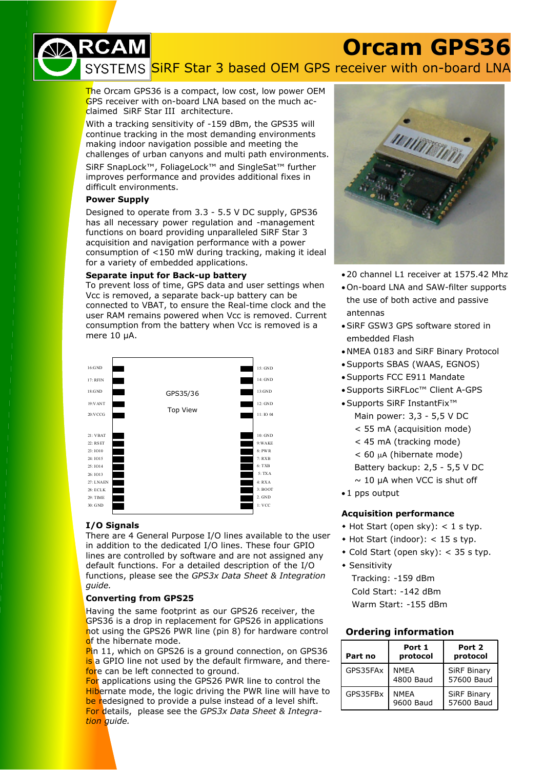# **Orcam GPS36 RCAM** SYSTEMS SIRF Star 3 based OEM GPS receiver with on-board LNA

The Orcam GPS36 is a compact, low cost, low power OEM GPS receiver with on-board LNA based on the much acclaimed SiRF Star III architecture.

With a tracking sensitivity of -159 dBm, the GPS35 will continue tracking in the most demanding environments making indoor navigation possible and meeting the challenges of urban canyons and multi path environments.

SiRF SnapLock™, FoliageLock™ and SingleSat™ further improves performance and provides additional fixes in difficult environments.

## **Power Supply**

Designed to operate from 3.3 - 5.5 V DC supply, GPS36 has all necessary power regulation and -management functions on board providing unparalleled SiRF Star 3 acquisition and navigation performance with a power consumption of <150 mW during tracking, making it ideal for a variety of embedded applications.

#### **Separate input for Back-up battery**

To prevent loss of time, GPS data and user settings when Vcc is removed, a separate back-up battery can be connected to VBAT, to ensure the Real-time clock and the user RAM remains powered when Vcc is removed. Current consumption from the battery when Vcc is removed is a mere 10 µA.



# **I/O Signals**

There are 4 General Purpose I/O lines available to the user in addition to the dedicated I/O lines. These four GPIO lines are controlled by software and are not assigned any default functions. For a detailed description of the I/O functions, please see the *GPS3x Data Sheet & Integration guide.*

## **Converting from GPS25**

Having the same footprint as our GPS26 receiver, the GPS36 is a drop in replacement for GPS26 in applications not using the GPS26 PWR line (pin 8) for hardware control of the hibernate mode.

Pin 11, which on GPS26 is a ground connection, on GPS36 is a GPIO line not used by the default firmware, and therefore can be left connected to ground.

For applications using the GPS26 PWR line to control the Hibernate mode, the logic driving the PWR line will have to be redesigned to provide a pulse instead of a level shift. For details, please see the *GPS3x Data Sheet & Integration guide.*



- · 20 channel L1 receiver at 1575.42 Mhz
- · On-board LNA and SAW-filter supports the use of both active and passive antennas
- · SiRF GSW3 GPS software stored in embedded Flash
- · NMEA 0183 and SiRF Binary Protocol
- · Supports SBAS (WAAS, EGNOS)
- · Supports FCC E911 Mandate
- · Supports SiRFLoc™ Client A-GPS
- · Supports SiRF InstantFix™ Main power: 3,3 - 5,5 V DC
	- < 55 mA (acquisition mode)
	- < 45 mA (tracking mode)
	- $<$  60  $\mu$ A (hibernate mode)
	- Battery backup: 2,5 5,5 V DC
	- $\sim$  10 µA when VCC is shut off
- · 1 pps output

## **Acquisition performance**

- $\triangle$  Hot Start (open sky):  $<$  1 s typ.
- $\triangle$  Hot Start (indoor): < 15 s typ.
- $\bullet$  Cold Start (open sky): < 35 s typ.
- $\overline{\phantom{a}}$  Sensitivity

Tracking: -159 dBm Cold Start: -142 dBm Warm Start: -155 dBm

## **Ordering information**

| Part no  | Port 1<br>protocol       | Port 2<br>protocol               |
|----------|--------------------------|----------------------------------|
| GPS35FAx | <b>NMEA</b><br>4800 Baud | <b>SiRF Binary</b><br>57600 Baud |
| GPS35FBx | <b>NMEA</b><br>9600 Baud | <b>SiRF Binary</b><br>57600 Baud |